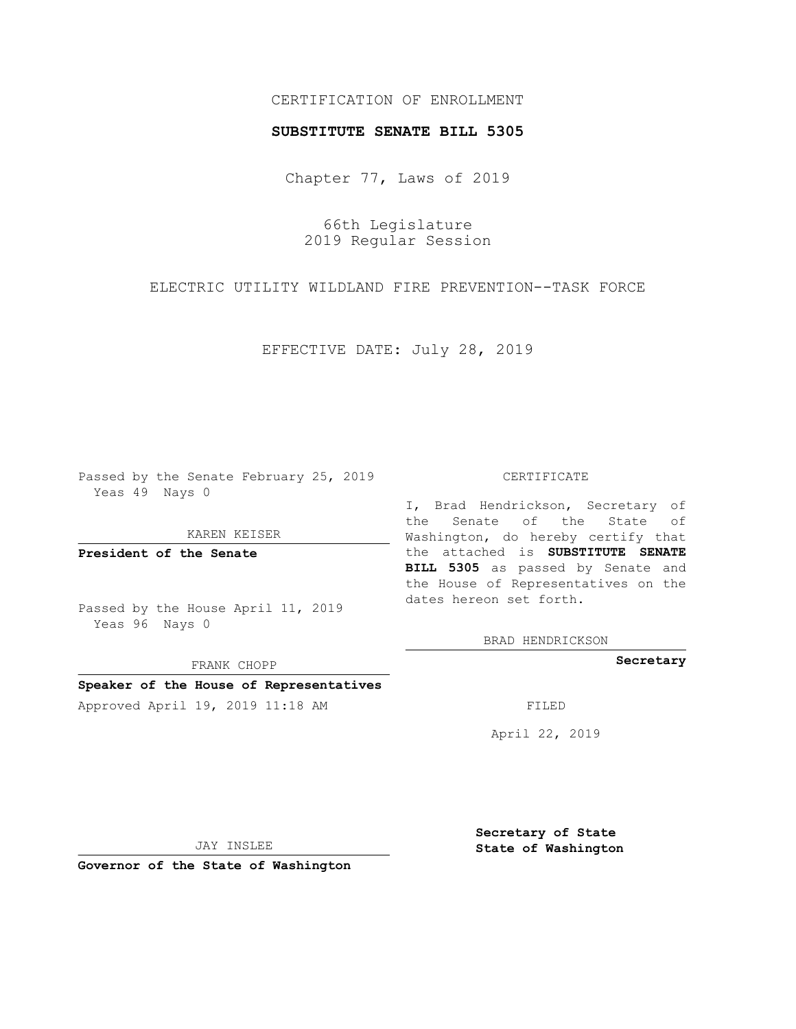## CERTIFICATION OF ENROLLMENT

## **SUBSTITUTE SENATE BILL 5305**

Chapter 77, Laws of 2019

66th Legislature 2019 Regular Session

ELECTRIC UTILITY WILDLAND FIRE PREVENTION--TASK FORCE

EFFECTIVE DATE: July 28, 2019

Passed by the Senate February 25, 2019 Yeas 49 Nays 0

KAREN KEISER

**President of the Senate**

Passed by the House April 11, 2019 Yeas 96 Nays 0

FRANK CHOPP

# **Speaker of the House of Representatives**

Approved April 19, 2019 11:18 AM FILED

#### CERTIFICATE

I, Brad Hendrickson, Secretary of the Senate of the State of Washington, do hereby certify that the attached is **SUBSTITUTE SENATE BILL 5305** as passed by Senate and the House of Representatives on the dates hereon set forth.

BRAD HENDRICKSON

**Secretary**

April 22, 2019

JAY INSLEE

**Governor of the State of Washington**

**Secretary of State State of Washington**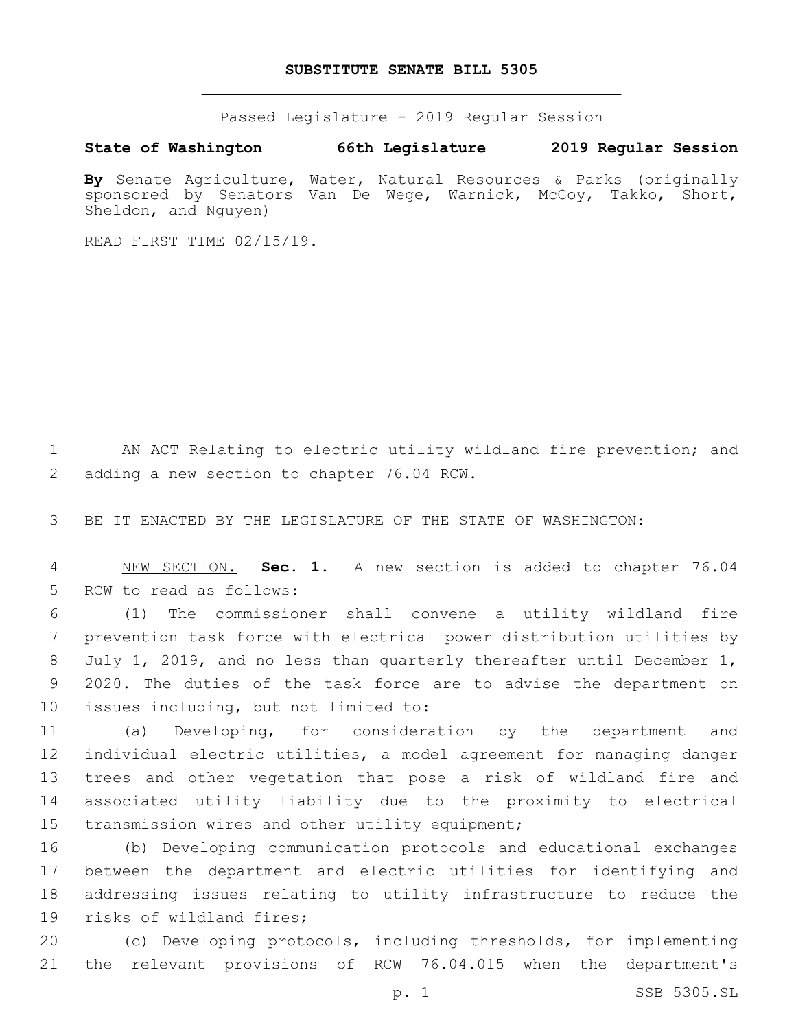## **SUBSTITUTE SENATE BILL 5305**

Passed Legislature - 2019 Regular Session

**State of Washington 66th Legislature 2019 Regular Session**

**By** Senate Agriculture, Water, Natural Resources & Parks (originally sponsored by Senators Van De Wege, Warnick, McCoy, Takko, Short, Sheldon, and Nguyen)

READ FIRST TIME 02/15/19.

1 AN ACT Relating to electric utility wildland fire prevention; and 2 adding a new section to chapter 76.04 RCW.

3 BE IT ENACTED BY THE LEGISLATURE OF THE STATE OF WASHINGTON:

4 NEW SECTION. **Sec. 1.** A new section is added to chapter 76.04 5 RCW to read as follows:

6 (1) The commissioner shall convene a utility wildland fire 7 prevention task force with electrical power distribution utilities by 8 July 1, 2019, and no less than quarterly thereafter until December 1, 9 2020. The duties of the task force are to advise the department on 10 issues including, but not limited to:

 (a) Developing, for consideration by the department and individual electric utilities, a model agreement for managing danger trees and other vegetation that pose a risk of wildland fire and associated utility liability due to the proximity to electrical 15 transmission wires and other utility equipment;

 (b) Developing communication protocols and educational exchanges between the department and electric utilities for identifying and addressing issues relating to utility infrastructure to reduce the 19 risks of wildland fires;

20 (c) Developing protocols, including thresholds, for implementing 21 the relevant provisions of RCW 76.04.015 when the department's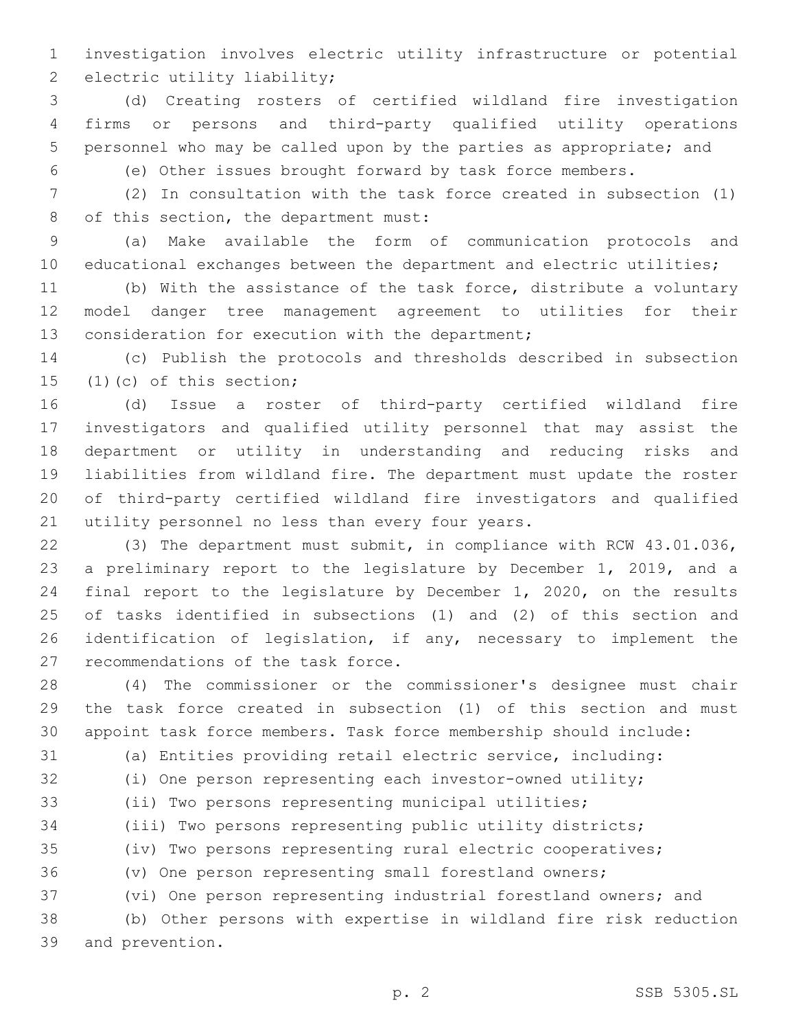investigation involves electric utility infrastructure or potential 2 electric utility liability;

 (d) Creating rosters of certified wildland fire investigation firms or persons and third-party qualified utility operations personnel who may be called upon by the parties as appropriate; and

(e) Other issues brought forward by task force members.

 (2) In consultation with the task force created in subsection (1) 8 of this section, the department must:

 (a) Make available the form of communication protocols and educational exchanges between the department and electric utilities;

 (b) With the assistance of the task force, distribute a voluntary model danger tree management agreement to utilities for their 13 consideration for execution with the department;

 (c) Publish the protocols and thresholds described in subsection (1)(c) of this section;

 (d) Issue a roster of third-party certified wildland fire investigators and qualified utility personnel that may assist the department or utility in understanding and reducing risks and liabilities from wildland fire. The department must update the roster of third-party certified wildland fire investigators and qualified 21 utility personnel no less than every four years.

 (3) The department must submit, in compliance with RCW 43.01.036, a preliminary report to the legislature by December 1, 2019, and a final report to the legislature by December 1, 2020, on the results of tasks identified in subsections (1) and (2) of this section and identification of legislation, if any, necessary to implement the 27 recommendations of the task force.

 (4) The commissioner or the commissioner's designee must chair the task force created in subsection (1) of this section and must appoint task force members. Task force membership should include:

(a) Entities providing retail electric service, including:

(i) One person representing each investor-owned utility;

(ii) Two persons representing municipal utilities;

(iii) Two persons representing public utility districts;

(iv) Two persons representing rural electric cooperatives;

(v) One person representing small forestland owners;

(vi) One person representing industrial forestland owners; and

 (b) Other persons with expertise in wildland fire risk reduction 39 and prevention.